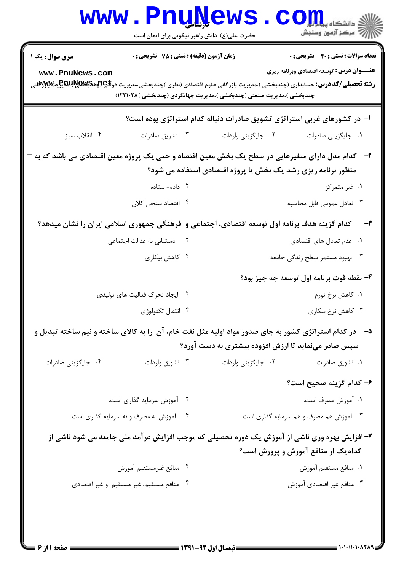| <b>WWW</b>                                                                                    | • FUÑÑAMP<br>حضرت علی(ع): دانش راهبر نیکویی برای ایمان است           |                                                               | دانشگاه پ <b>یا ب<sup>ا</sup> توا</b><br>أأأأمركز آزمون وسنجش                                                                        |
|-----------------------------------------------------------------------------------------------|----------------------------------------------------------------------|---------------------------------------------------------------|--------------------------------------------------------------------------------------------------------------------------------------|
| <b>سری سوال:</b> یک ۱                                                                         | <b>زمان آزمون (دقیقه) : تستی : 75 تشریحی : 0</b>                     |                                                               | <b>تعداد سوالات : تستی : 40 - تشریحی : 0</b><br><b>عنـــوان درس:</b> توسعه اقتصادی وبرنامه ریزی                                      |
| www.PnuNews.com                                                                               | چندبخشی )،مدیریت صنعتی (چندبخشی )،مدیریت جهانگردی (چندبخشی )۱۲۲۱۰۲۸) |                                                               |                                                                                                                                      |
|                                                                                               |                                                                      |                                                               | ا- در کشورهای غربی استراتژی تشویق صادرات دنباله کدام استراتژی بوده است؟                                                              |
| ۰۴ انقلاب سبز                                                                                 | ۰۳ تشویق صادرات                                                      | ٢. جايگزيني واردات                                            | ٠١. جايگزيني صادرات                                                                                                                  |
|                                                                                               |                                                                      |                                                               | ۲–۔ کدام مدل دارای متغیرهایی در سطح یک بخش معین اقتصاد و حتی یک پروژه معین اقتصادی می باشد که به                                     |
|                                                                                               |                                                                      | منظور برنامه ریزی رشد یک بخش یا پروژه اقتصادی استفاده می شود؟ |                                                                                                                                      |
|                                                                                               | ۰۲ داده- ستاده                                                       |                                                               | ۰۱ غیر متمرکز                                                                                                                        |
|                                                                                               | ۰۴ اقتصاد سنجی کلان                                                  |                                                               | ۰۳ تعادل عمومی قابل محاسبه                                                                                                           |
| کدام گزینه هدف برنامه اول توسعه اقتصادی، اجتماعی و ۖفرهنگی جمهوری اسلامی ایران را نشان میدهد؟ |                                                                      |                                                               |                                                                                                                                      |
|                                                                                               | ۰۲ دستیابی به عدالت اجتما <i>ع</i> ی                                 |                                                               | ۰۱ عدم تعادل های اقتصادی                                                                                                             |
|                                                                                               | ۰۴ کاهش بیکاری                                                       |                                                               | ۰۳ بهبود مستمر سطح زندگی جامعه                                                                                                       |
|                                                                                               |                                                                      |                                                               | ۴- نقطه قوت برنامه اول توسعه چه چیز بود؟                                                                                             |
|                                                                                               | ۰۲ ایجاد تحرک فعالیت های تولیدی                                      |                                                               | ۰۱ کاهش نرخ تورم                                                                                                                     |
|                                                                                               | ۰۴ انتقال تكنولوژي                                                   |                                                               | ۰۳ کاهش نرخ بیکاری                                                                                                                   |
|                                                                                               |                                                                      |                                                               | ۵– در کدام استراتژی کشور به جای صدور مواد اولیه مثل نفت خام، آن را به کالای ساخته و نیم ساخته تبدیل و                                |
|                                                                                               |                                                                      | سپس صادر مینماید تا ارزش افزوده بیشتری به دست آورد؟           |                                                                                                                                      |
| ۰۴ جایگزینی صادرات                                                                            | ۰۳ تشويق واردات                                                      | ۰۲ جایگزینی واردات                                            | ۰۱ تشویق صادرات                                                                                                                      |
|                                                                                               |                                                                      |                                                               | ۶- کدام گزینه صحیح است؟                                                                                                              |
|                                                                                               | ۰۲ آموزش سرمایه گذاری است.                                           |                                                               | ۰۱ آموزش مصرف است.                                                                                                                   |
|                                                                                               | ۰۴ قموزش نه مصرف و نه سرمایه گذاری است.                              |                                                               | ۰۳ آموزش هم مصرف و هم سرمایه گذاری است.                                                                                              |
|                                                                                               |                                                                      |                                                               | ۷- افزایش بهره وری ناشی از آموزش یک دوره تحصیلی که موجب افزایش درآمد ملی جامعه می شود ناشی از<br>کدام یک از منافع آموزش و پرورش است؟ |
|                                                                                               | ٠٢ منافع غيرمستقيم أموزش                                             |                                                               | ٠١. منافع مستقيم آموزش                                                                                                               |
|                                                                                               | ۰۴ منافع مستقيم، غير مستقيم و غير اقتصادي                            |                                                               | ۰۳ منافع غير اقتصادي آموزش                                                                                                           |
|                                                                                               |                                                                      |                                                               |                                                                                                                                      |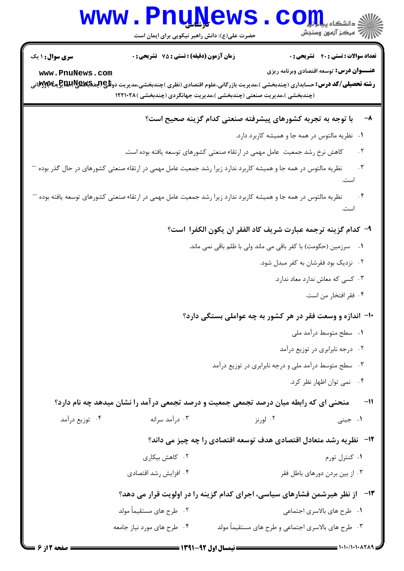# WWW.PnuNews.com ||// مرکز آزمون وسنجش

حضرت علی(ع): دانش راهبر نیکویی برای ایمان است

تعداد سوالات : تستى : 40 - تشريحي : 0

**زمان آزمون (دقیقه) : تستی : 75 ٪ تشریحی : 0** 

<mark>سری سوال :</mark> ۱ یک

**عنـــوان درس:** توسعه اقتصادي وبرنامه ریزي

www.PnuNews.com

**رشته تحصیلی/کد درس:**حسابداری (چندبخشی )،مدیریت بازرگانی،علوم اقتصادی (نظری )چندبخشی،مدیریت دو**للیپا(پیتوپایی پیتوپایی پیتوپای** (چندبخشی )،مدیریت صنعتی (چندبخشی )،مدیریت جهانگردی (چندبخشی )۱۲۲۱۰۲۸

#### با توجه به تجربه کشورهای پیشرفته صنعتی کدام گزینه صحیح است؟  $-\lambda$

- ۰۱ نظریه مالتوس در همه جا و همیشه کاربرد دارد.
- $.7$ کاهش نرخ رشد جمعیت عامل مهمی در ارتقاء صنعتی کشورهای توسعه یافته بوده است.
- ِ نظریه مالتوس در همه جا و همیشه کاربرد ندارد زیرا رشد جمعیت عامل مهمی در ارتقاء صنعتی کشورهای در حال گذر بوده <sup>—</sup>  $\cdot$   $\mathsf{r}$
- $\cdot$ نظریه مالتوس در همه جا و همیشه کاربرد ندارد زیرا رشد جمعیت عامل مهمی در ارتقاء صنعتی کشورهای توسعه یافته بوده — است.

## ٩- كدام گزينه ترجمه عبارت شريف كاد الفقر ان يكون الكفرا است؟

- ۰۱ سرزمین (حکومت) با کفر باقی می ماند ولی با ظلم باقی نمی ماند.
	- ۲. نزدیک بود فقرشان به کفر مبدل شود.
		- ۰۳ کسی که معاش ندارد معاد ندارد.
			- ۴ . فقر افتخار من است.

۱۰- اندازه و وسعت فقر در هر کشور به چه عواملی بستگی دارد؟

- ۰۱ سطح متوسط درآمد ملی
- ۰۲ درجه نابرابری در توزیع درآمد
- ۰۳ سطح متوسط درآمد ملی و درجه نابرابری در توزیع درآمد
	- ۴. نمی توان اظهار نظر کرد.

<sup>11</sup>- مضحنی ای که رابطه میان درصد تجمعی جمعیت و درصد تجمعی درآمد را نشان میدهد چه نام دارد؟ ۰۲ لورنز ۰۴ توزیع درآمد ۰۳ د, آمد سرانه ۰۱ جيني

## ۱۲- نظریه رشد متعادل اقتصادی هدف توسعه اقتصادی را چه چیز می داند؟

- ۲. کاهش بیکا<sub>د</sub>ی ۰۱ کنترل تورم
- ۰۴ افزایش , شد اقتصادی ۰۳ از بین بردن دورهای باطل فقر

#### ۱۳ - از نظر هیرشمن فشارهای سیاسی، اجرای کدام گزینه را در اولویت قرار می دهد؟ ۰۲ طرح های مستقیماً مولد ۰۱ طرح های بالاسری اجتماعی

۰۳ طرح های بالاسری اجتماعی و طرح های مستقیماً مولد ۰۴ طرح های مورد نیاز جامعه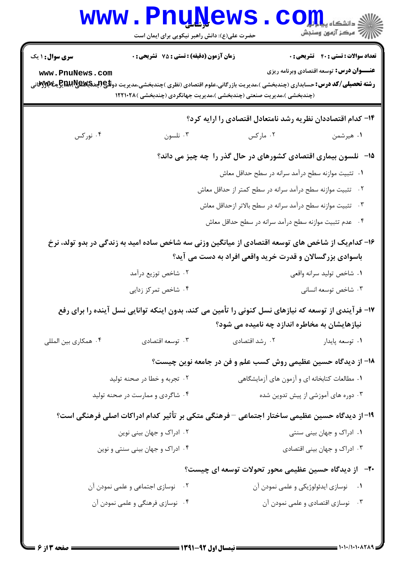|                        | <b>www.PnuNews</b><br>حضرت علی(ع): دانش راهبر نیکویی برای ایمان است |                                                                                                                                                      | $\mathbf{C}\mathbf{O}$ انشکاه پیا $\mathbf{L}$<br><b>الله آهن الله على الله على الله على الله على الله على الله على الله على الله على الله على الله على</b> |
|------------------------|---------------------------------------------------------------------|------------------------------------------------------------------------------------------------------------------------------------------------------|-------------------------------------------------------------------------------------------------------------------------------------------------------------|
| <b>سری سوال : ۱ یک</b> | زمان آزمون (دقیقه) : تستی : 75 ٪ تشریحی : 0                         |                                                                                                                                                      | <b>تعداد سوالات : تستی : ۴۰ تشریحی : 0</b>                                                                                                                  |
| www.PnuNews.com        |                                                                     | (چندبخشی )،مدیریت صنعتی (چندبخشی )،مدیریت جهانگردی (چندبخشی )۱۲۲۱۰۲۸                                                                                 | <b>عنـــوان درس:</b> توسعه اقتصادی وبرنامه ریزی                                                                                                             |
|                        |                                                                     | ۱۴– کدام اقتصاددان نظریه رشد نامتعادل اقتصادی را ارایه کرد؟                                                                                          |                                                                                                                                                             |
| ۰۴ نورکس               | ۰۳ نلسون                                                            | ۰۲ مارکس                                                                                                                                             | ۰۱ هیرشمن                                                                                                                                                   |
|                        |                                                                     | ۱۵− نلسون بیماری اقتصادی کشورهای در حال گذر را چه چیز می داند؟                                                                                       |                                                                                                                                                             |
|                        |                                                                     | ۰۱ تثبیت موازنه سطح درآمد سرانه در سطح حداقل معاش                                                                                                    |                                                                                                                                                             |
|                        |                                                                     | ۰۲ تثبیت موازنه سطح درآمد سرانه در سطح کمتر از حداقل معاش                                                                                            |                                                                                                                                                             |
|                        |                                                                     | ۰۳ تثبیت موازنه سطح درآمد سرانه در سطح بالاتر ازحداقل معاش                                                                                           |                                                                                                                                                             |
|                        |                                                                     | ۰۴ مدم تثبیت موازنه سطح درآمد سرانه در سطح حداقل معاش                                                                                                |                                                                                                                                                             |
|                        |                                                                     | ۱۶– کدام یک از شاخص های توسعه اقتصادی از میانگین وزنی سه شاخص ساده امید به زندگی در بدو تولد، نرخ                                                    |                                                                                                                                                             |
|                        |                                                                     | باسوادی بزرگسالان و قدرت خرید واقعی افراد به دست می آید؟                                                                                             |                                                                                                                                                             |
|                        | ۰۲ شاخص توزیع درآمد                                                 |                                                                                                                                                      | ۰۱ شاخص تولید سرانه واقعی                                                                                                                                   |
|                        | ۰۴ شاخص تمرکز زدایی                                                 |                                                                                                                                                      | ۰۳ شاخص توسعه انسانی                                                                                                                                        |
|                        |                                                                     | ۱۷– فرآیندی از توسعه که نیازهای نسل کنونی را تأمین می کند، بدون اینکه توانایی نسل آینده را برای رفع<br>نیازهایشان به مخاطره اندازد چه نامیده می شود؟ |                                                                                                                                                             |
| ۰۴ همکاری بین المللی   | ۰۳ توسعه اقتصادي                                                    | ۰۲ رشد اقتصادی                                                                                                                                       | ۰۱ توسعه پایدار                                                                                                                                             |
|                        |                                                                     | ۱۸– از دیدگاه حسین عظیمی روش کسب علم و فن در جامعه نوین چیست؟                                                                                        |                                                                                                                                                             |
|                        | ۰۲ تجربه و خطا در صحنه تولید                                        |                                                                                                                                                      | ۰۱ مطالعات کتابخانه ای و آزمون های آزمایشگاهی                                                                                                               |
|                        | ۰۴ شاگردی و ممارست در صحنه تولید                                    |                                                                                                                                                      | ۰۳ دوره های آموزشی از پیش تدوین شده                                                                                                                         |
|                        |                                                                     | ۱۹– از دیدگاه حسین عظیمی ساختار اجتماعی – فرهنگی متکی بر تأثیر کدام ادراکات اصلی فرهنگی است؟                                                         |                                                                                                                                                             |
|                        | ۰۲ ادراک و جهان بینی نوین                                           |                                                                                                                                                      | ۰۱ ادراک و جهان بینی سنتی                                                                                                                                   |
|                        | ۰۴ ادراک و جهان بینی سنتی و نوین                                    |                                                                                                                                                      | ۰۳ ادراک و جهان بینی اقتصادی                                                                                                                                |
|                        |                                                                     | +۲-۔ از دیدگاہ حسین عظیمی محور تحولات توسعه ای چیست؟                                                                                                 |                                                                                                                                                             |
|                        | ۰۲ نوسازی اجتماعی و علمی نمودن آن                                   |                                                                                                                                                      | ۰۱ نوسازی ایدئولوژیکی و علمی نمودن آن                                                                                                                       |
|                        | ۰۴ نوسازی فرهنگی و علمی نمودن آن                                    |                                                                                                                                                      | ۰۳ نوسازی اقتصادی و علمی نمودن آن                                                                                                                           |
|                        |                                                                     |                                                                                                                                                      |                                                                                                                                                             |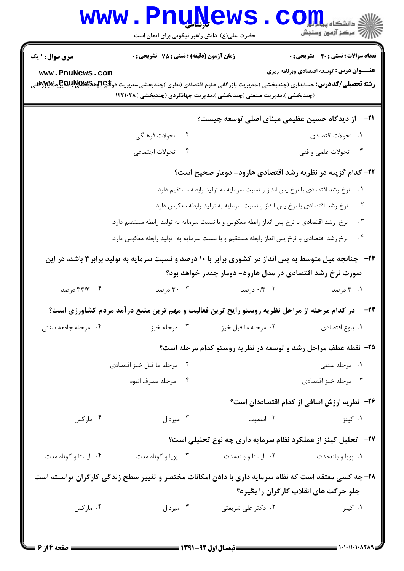|                        | <b>www.Pnunews</b><br>حضرت علی(ع): دانش راهبر نیکویی برای ایمان است                                      |                                                                           | ر دانشڪاه پ <b>يا ہارار (</b><br>ا∜ مرکز آزمون وسنڊش                  |
|------------------------|----------------------------------------------------------------------------------------------------------|---------------------------------------------------------------------------|-----------------------------------------------------------------------|
| <b>سری سوال : ۱ یک</b> | زمان آزمون (دقیقه) : تستی : 75 گشریحی : 0                                                                |                                                                           | <b>تعداد سوالات : تستي : 40 - تشريحي : 0</b>                          |
| www.PnuNews.com        | (چندبخشی )،مدیریت صنعتی (چندبخشی )،مدیریت جهانگردی (چندبخشی ) ۱۲۲۱۰۲۸                                    |                                                                           | <b>عنـــوان درس:</b> توسعه اقتصادی وبرنامه ریزی                       |
|                        |                                                                                                          | از دیدگاه حسین عظیمی مبنای اصلی توسعه چیست؟                               | -71                                                                   |
|                        | ۲. تحولات فرهنگی                                                                                         |                                                                           | ۰۱ تحولات اقتصادی                                                     |
|                        | ۰۴ تحولات اجتماعي                                                                                        |                                                                           | ۰۳ تحولات علمی و فنی                                                  |
|                        |                                                                                                          | ۲۲– کدام گزینه در نظریه رشد اقتصادی هارود- دومار صحیح است؟                |                                                                       |
|                        |                                                                                                          | نرخ رشد اقتصادی با نرخ پس انداز و نسبت سرمایه به تولید رابطه مستقیم دارد. | $\cdot$                                                               |
|                        |                                                                                                          | نرخ رشد اقتصادی با نرخ پس انداز و نسبت سرمایه به تولید رابطه معکوس دارد.  | $\cdot$ $\mathsf{r}$                                                  |
|                        | نرخ ِ رشد اقتصادی با نرخ پس انداز رابطه معکوس و با نسبت سرمایه به تولید رابطه مستقیم دارد.               |                                                                           | $\cdot$ $\mathsf{r}$                                                  |
|                        | نرخ رشد اقتصادی با نرخ پس انداز رابطه مستقیم و با نسبت سرمایه به تولید رابطه معکوس دارد.                 |                                                                           | $\cdot$ $\mathsf{r}$                                                  |
|                        | ۲۳− ٪ چنانچه میل متوسط به پس انداز در کشوری برابر با ۱۰ درصد و نسبت سرمایه به تولید برابر ۳ باشد، در این | صورت نرخ رشد اقتصادی در مدل هارود- دومار چقدر خواهد بود؟                  |                                                                       |
| ۰۴ - ۳۳/۳ درصد         | ۰۰ مرصد                                                                                                  | ۰۱۳ ۰/۳ درصد                                                              | ۰۱ ۲ درصد                                                             |
|                        | در کدام مرحله از مراحل نظریه روستو رایج ترین فعالیت و مهم ترین منبع در آمد مردم کشاورزی است؟             |                                                                           | -24                                                                   |
| ۰۴ مرحله جامعه سنتى    | ۰۳ مرحله خيز                                                                                             | ٠٢ مرحله ما قبل خيز                                                       | ٠١. بلوغ اقتصادي                                                      |
|                        |                                                                                                          |                                                                           | ۲۵- نقطه عطف مراحل رشد و توسعه در نظریه روستو کدام مرحله است؟         |
|                        | ۰۲ مرحله ما قبل خيز اقتصادي                                                                              |                                                                           | ۰۱ مرحله سنتی                                                         |
|                        | ۰۴ مرحله مصرف انبوه                                                                                      |                                                                           | ۰۳ مرحله خيز اقتصادي                                                  |
|                        |                                                                                                          |                                                                           | <b>۳۶</b> - نظریه ارزش اضافی از کدام اقتصاددان است؟                   |
| ۰۴ مارکس               | ۰۳ میردال $\cdot$                                                                                        | ۰۲ اسمیت                                                                  | ۰۱ کینز                                                               |
|                        |                                                                                                          |                                                                           | <b>۲۷-۔ تحلیل کینز از عملکرد نظام سرمایه داری چه نوع تحلیلی است</b> ؟ |
| ۰۴ ایستا و کوتاه مدت   | ۰۳ پویا و کوتاه مدت                                                                                      | ٠٢ ايستا وبلندمدت                                                         | ٠١. پويا و بلندمدت                                                    |
|                        | ۲۸- چه کسی معتقد است که نظام سرمایه داری با دادن امکانات مختصر و تغییر سطح زندگی کارگران توانسته است     |                                                                           |                                                                       |
|                        |                                                                                                          |                                                                           | جلو حرکت های انقلاب کارگران را بگیرد؟                                 |
| ۰۴ مارکس               | ۰۳ میردال $\cdot$                                                                                        | ۰۲ دکتر علی شریعتی                                                        | ۰۱ کینز                                                               |
|                        |                                                                                                          |                                                                           |                                                                       |

 $= 1.1 - (1 - 1 - \lambda T)$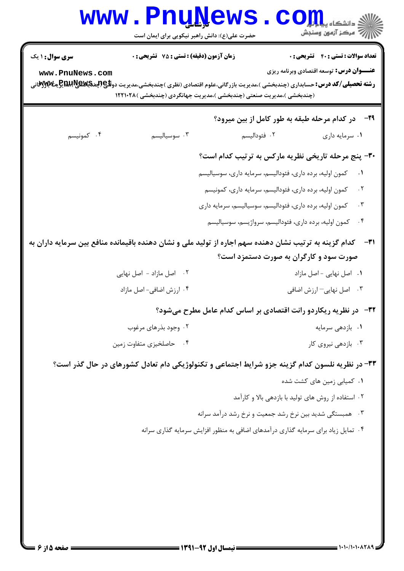|                                           | www.PnuNews                                                                                                               | حضرت علی(ع): دانش راهبر نیکویی برای ایمان است | اللاء دانشڪاء پيد <mark>م کو</mark><br>اللاھ مرکز آزمون وسنڊش                                                                                                                                                                                                                                                                                                      |
|-------------------------------------------|---------------------------------------------------------------------------------------------------------------------------|-----------------------------------------------|--------------------------------------------------------------------------------------------------------------------------------------------------------------------------------------------------------------------------------------------------------------------------------------------------------------------------------------------------------------------|
| <b>سری سوال : ۱ یک</b><br>www.PnuNews.com | <b>زمان آزمون (دقیقه) : تستی : 75 تشریحی : 0</b><br>(چندبخشی )،مدیریت صنعتی (چندبخشی )،مدیریت جهانگردی (چندبخشی ) ۱۲۲۱۰۲۸ |                                               | <b>تعداد سوالات : تستی : 40 ٪ تشریحی : 0</b><br><b>عنـــوان درس:</b> توسعه اقتصادی وبرنامه ریزی<br><b>رشته تحصیلی/کد درس:</b> حسابداری (چندبخشی )،مدیریت بازرگانی،علوم اقتصادی (نظری )چندبخشی،مدیریت دو <b>للیپا(پایچاپایی پهکلایی پیکلایی</b>                                                                                                                     |
|                                           |                                                                                                                           |                                               | <b>۲۹</b> - در کدام مرحله طبقه به طور کامل از بین میرود؟                                                                                                                                                                                                                                                                                                           |
| ۰۴ كمونيسم                                | ۰۳ سوسیالیسم                                                                                                              | ۰۲ فئوداليسم                                  | ۰۱ سرمایه داری                                                                                                                                                                                                                                                                                                                                                     |
|                                           |                                                                                                                           |                                               | ۳۰- پنج مرحله تاریخی نظریه مارکس به ترتیب کدام است؟<br>کمون اولیه، برده داری، فئودالیسم، سرمایه داری، سوسیالیسم<br>$\cdot$<br>كمون اوليه، برده داري، فئوداليسم، سرمايه داري، كمونيسم<br>. $\mathsf{r}$<br>كمون اوليه، برده داري، فئوداليسم، سوسياليسم، سرمايه داري<br>. $\mathbf{\check{r}}$<br>$\cdot$ ۴<br>كمون اوليه، برده داري، فئوداليسم، سرواژيسم، سوسياليسم |
|                                           |                                                                                                                           |                                               | کدام گزینه به ترتیب نشان دهنده سهم اجاره از تولید ملی و نشان دهنده باقیمانده منافع بین سرمایه داران به<br>-31<br>صورت سود و کارگران به صورت دستمزد است؟                                                                                                                                                                                                            |
|                                           | ۲. اصل مازاد - اصل نهایی                                                                                                  |                                               | ٠١ اصل نهايي - اصل مازاد                                                                                                                                                                                                                                                                                                                                           |
|                                           | ۰۴ ارزش اضافی- اصل مازاد                                                                                                  |                                               | ۰۳ اصل نهایی-ارزش اضافی                                                                                                                                                                                                                                                                                                                                            |
|                                           |                                                                                                                           |                                               | <b>۳۲</b> - در نظریه ریکاردو رانت اقتصادی بر اساس کدام عامل مطرح میشود؟                                                                                                                                                                                                                                                                                            |
|                                           | ۰۲ وجود بذرهای مرغوب                                                                                                      |                                               | ٠١ بازدهي سرمايه                                                                                                                                                                                                                                                                                                                                                   |
|                                           | ۰۴ حاصلخیزی متفاوت زمین                                                                                                   |                                               | ۰۳ بازدهی نیروی کار                                                                                                                                                                                                                                                                                                                                                |
|                                           |                                                                                                                           |                                               | ۳۳- در نظریه نلسون کدام گزینه جزو شرایط اجتماعی و تکنولوژیکی دام تعادل کشورهای در حال گذر است؟                                                                                                                                                                                                                                                                     |
|                                           |                                                                                                                           |                                               | ۰۱ کمیابی زمین های کشت شده                                                                                                                                                                                                                                                                                                                                         |
|                                           |                                                                                                                           |                                               | ۰۲ استفاده از روش های تولید با بازدهی بالا و کارآمد                                                                                                                                                                                                                                                                                                                |
|                                           |                                                                                                                           |                                               | ۰۳ همبستگی شدید بین نرخ رشد جمعیت و نرخ رشد درآمد سرانه                                                                                                                                                                                                                                                                                                            |
|                                           |                                                                                                                           |                                               | ۰۴ تمایل زیاد برای سرمایه گذاری درآمدهای اضافی به منظور افزایش سرمایه گذاری سرانه                                                                                                                                                                                                                                                                                  |
|                                           |                                                                                                                           |                                               |                                                                                                                                                                                                                                                                                                                                                                    |

 $= 1.1.11.1.1719$